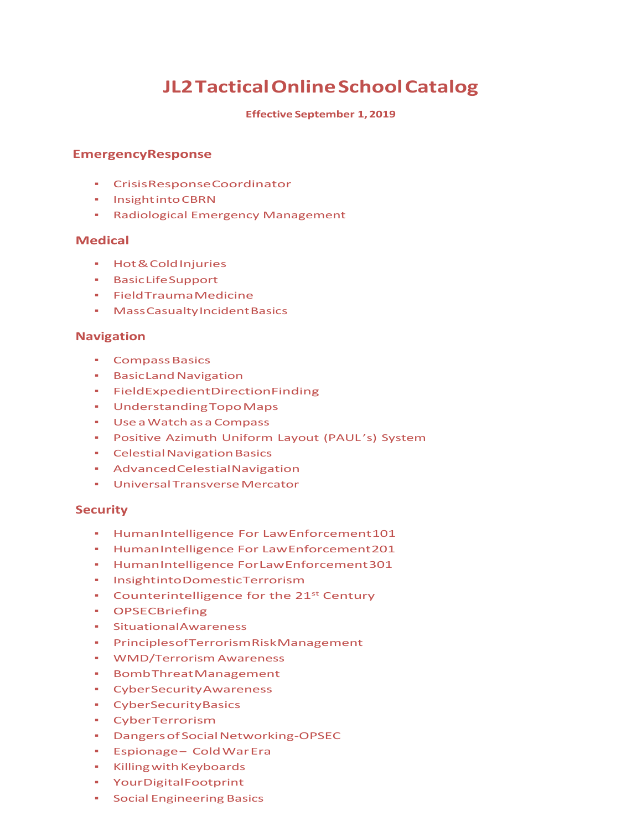# **JL2 Tactical Online School Catalog**

#### **Effective September 1, 2019**

#### **Emergency Response**

- *▪* Crisis Response Coordinator
- *▪* Insight into CBRN
- *▪* Radiological Emergency Management

#### **Medical**

- *▪* Hot & Cold Injuries
- *▪* Basic Life Support
- *▪* Field Trauma Medicine
- *▪* Mass Casualty Incident Basics

## **Navigation**

- *▪* Compass Basics
- *▪* Basic Land Navigation
- *▪* Field Expedient Direction Finding
- *▪* Understanding Topo Maps
- *▪* Use a Watch as a Compass
- *▪* Positive Azimuth Uniform Layout (PAUL 's) System
- *▪* Celestial Navigation Basics
- *▪* Advanced Celestial Navigation
- *▪* Universal Transverse Mercator

#### **Security**

- *▪* Human Intelligence For Law Enforcement 101
- *▪* Human Intelligence For Law Enforcement 201
- *▪* Human Intelligence For Law Enforcement 301
- *•* Insightinto Domestic Terrorism
- **•** Counterintelligence for the 21<sup>st</sup> Century
- *▪* OPSECBriefing
- *Situational Awareness*
- *▪* Principles of Terrorism Risk Management
- *▪* WMD/Terrorism Awareness
- *▪* Bomb Threat Management
- *▪* Cyber Security Awareness
- *▪* Cyber Security Basics
- *▪* Cyber Terrorism
- *▪* Dangers of Social Networking‐OPSEC
- *▪* Espionage Cold War Era
- *▪* Killing with Keyboards
- *•* Your Digital Footprint
- *▪* Social Engineering Basics